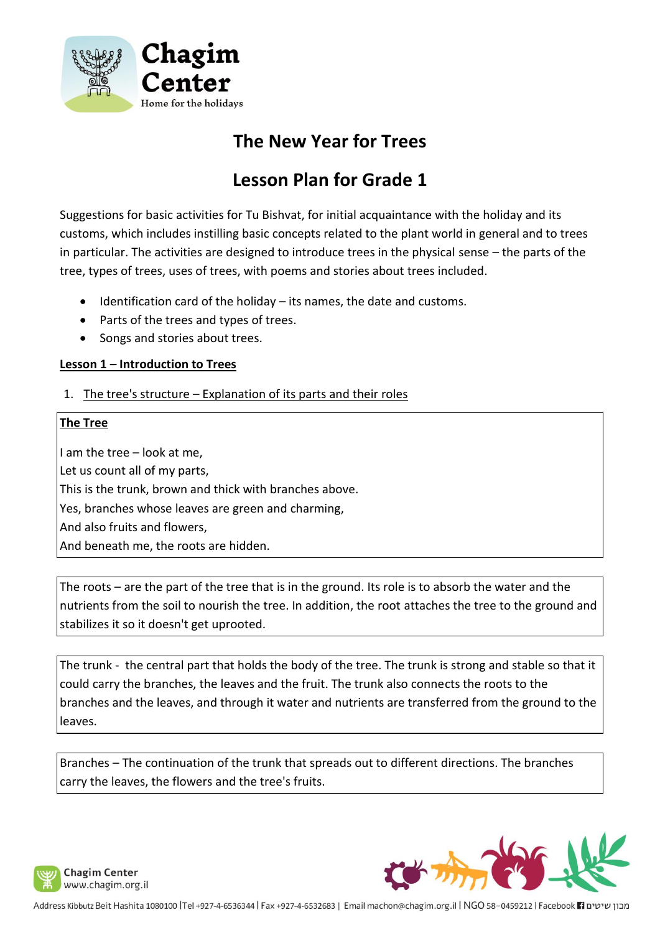

## **The New Year for Trees**

# **Lesson Plan for Grade 1**

Suggestions for basic activities for Tu Bishvat, for initial acquaintance with the holiday and its customs, which includes instilling basic concepts related to the plant world in general and to trees in particular. The activities are designed to introduce trees in the physical sense – the parts of the tree, types of trees, uses of trees, with poems and stories about trees included.

- Identification card of the holiday its names, the date and customs.
- Parts of the trees and types of trees.
- Songs and stories about trees.

#### **Lesson 1 – Introduction to Trees**

1. The tree's structure – Explanation of its parts and their roles

#### **The Tree**

I am the tree – look at me, Let us count all of my parts, This is the trunk, brown and thick with branches above. Yes, branches whose leaves are green and charming, And also fruits and flowers, And beneath me, the roots are hidden.

The roots – are the part of the tree that is in the ground. Its role is to absorb the water and the nutrients from the soil to nourish the tree. In addition, the root attaches the tree to the ground and stabilizes it so it doesn't get uprooted.

The trunk - the central part that holds the body of the tree. The trunk is strong and stable so that it could carry the branches, the leaves and the fruit. The trunk also connects the roots to the branches and the leaves, and through it water and nutrients are transferred from the ground to the leaves.

Branches – The continuation of the trunk that spreads out to different directions. The branches carry the leaves, the flowers and the tree's fruits.



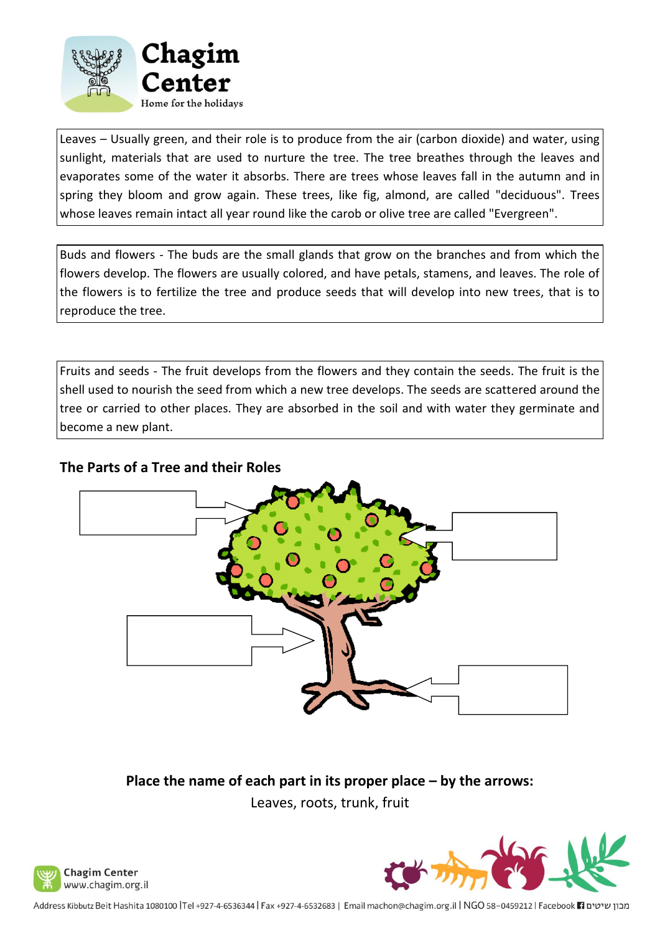

Leaves – Usually green, and their role is to produce from the air (carbon dioxide) and water, using sunlight, materials that are used to nurture the tree. The tree breathes through the leaves and evaporates some of the water it absorbs. There are trees whose leaves fall in the autumn and in spring they bloom and grow again. These trees, like fig, almond, are called "deciduous". Trees whose leaves remain intact all year round like the carob or olive tree are called "Evergreen".

Buds and flowers - The buds are the small glands that grow on the branches and from which the flowers develop. The flowers are usually colored, and have petals, stamens, and leaves. The role of the flowers is to fertilize the tree and produce seeds that will develop into new trees, that is to reproduce the tree.

Fruits and seeds - The fruit develops from the flowers and they contain the seeds. The fruit is the shell used to nourish the seed from which a new tree develops. The seeds are scattered around the tree or carried to other places. They are absorbed in the soil and with water they germinate and become a new plant.

## **The Parts of a Tree and their Roles**



**Place the name of each part in its proper place – by the arrows:** Leaves, roots, trunk, fruit



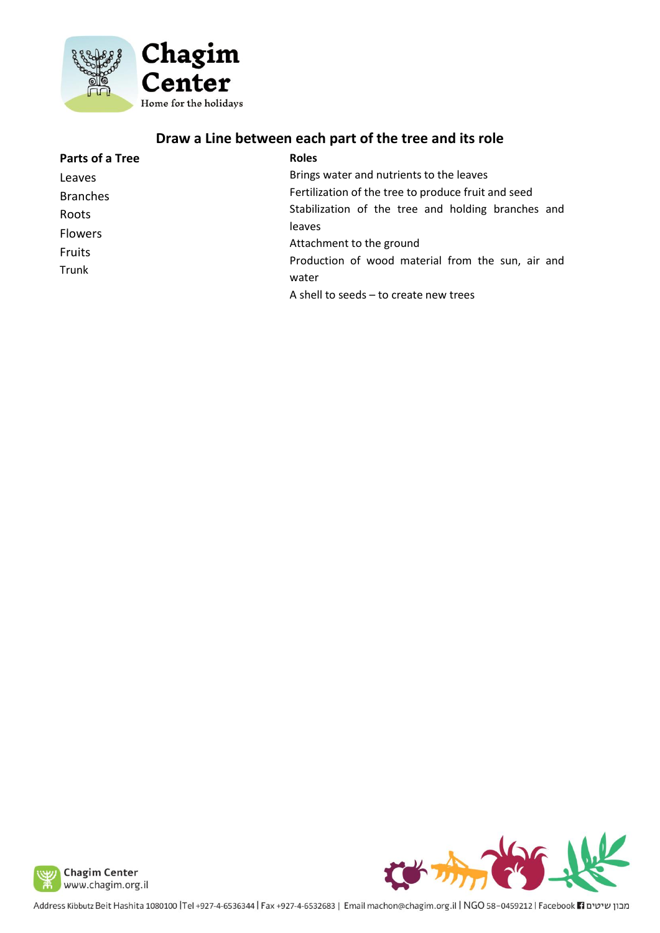

## **Draw a Line between each part of the tree and its role**

| Parts of a Tree | <b>Roles</b>                                        |
|-----------------|-----------------------------------------------------|
| Leaves          | Brings water and nutrients to the leaves            |
| <b>Branches</b> | Fertilization of the tree to produce fruit and seed |
| Roots           | Stabilization of the tree and holding branches and  |
| <b>Flowers</b>  | leaves                                              |
| Fruits          | Attachment to the ground                            |
|                 | Production of wood material from the sun, air and   |
| Trunk           | water                                               |
|                 | A shell to seeds - to create new trees              |



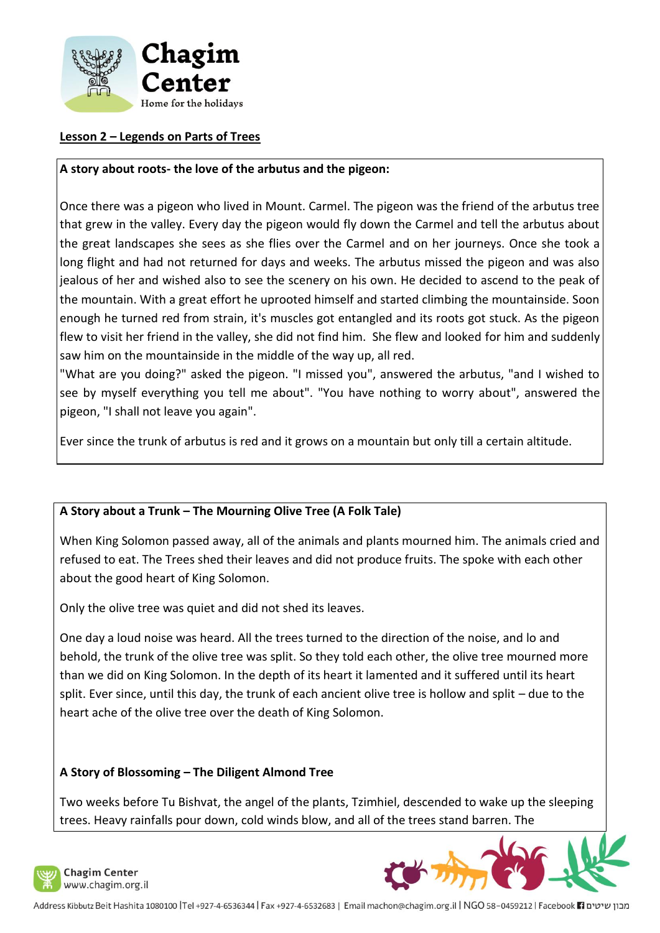

## **Lesson 2 – Legends on Parts of Trees**

#### **A story about roots- the love of the arbutus and the pigeon:**

Once there was a pigeon who lived in Mount. Carmel. The pigeon was the friend of the arbutus tree that grew in the valley. Every day the pigeon would fly down the Carmel and tell the arbutus about the great landscapes she sees as she flies over the Carmel and on her journeys. Once she took a long flight and had not returned for days and weeks. The arbutus missed the pigeon and was also jealous of her and wished also to see the scenery on his own. He decided to ascend to the peak of the mountain. With a great effort he uprooted himself and started climbing the mountainside. Soon enough he turned red from strain, it's muscles got entangled and its roots got stuck. As the pigeon flew to visit her friend in the valley, she did not find him. She flew and looked for him and suddenly saw him on the mountainside in the middle of the way up, all red.

"What are you doing?" asked the pigeon. "I missed you", answered the arbutus, "and I wished to see by myself everything you tell me about". "You have nothing to worry about", answered the pigeon, "I shall not leave you again".

Ever since the trunk of arbutus is red and it grows on a mountain but only till a certain altitude.

#### **A Story about a Trunk – The Mourning Olive Tree (A Folk Tale)**

When King Solomon passed away, all of the animals and plants mourned him. The animals cried and refused to eat. The Trees shed their leaves and did not produce fruits. The spoke with each other about the good heart of King Solomon.

Only the olive tree was quiet and did not shed its leaves.

One day a loud noise was heard. All the trees turned to the direction of the noise, and lo and behold, the trunk of the olive tree was split. So they told each other, the olive tree mourned more than we did on King Solomon. In the depth of its heart it lamented and it suffered until its heart split. Ever since, until this day, the trunk of each ancient olive tree is hollow and split – due to the heart ache of the olive tree over the death of King Solomon.

#### **A Story of Blossoming – The Diligent Almond Tree**

Two weeks before Tu Bishvat, the angel of the plants, Tzimhiel, descended to wake up the sleeping trees. Heavy rainfalls pour down, cold winds blow, and all of the trees stand barren. The



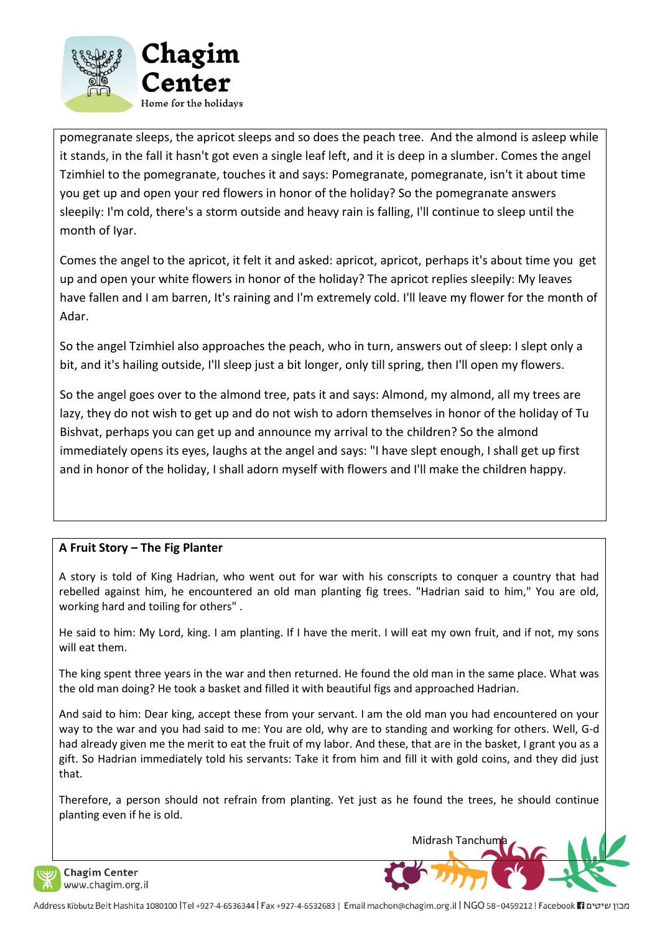

pomegranate sleeps, the apricot sleeps and so does the peach tree. And the almond is asleep while it stands, in the fall it hasn't got even a single leaf left, and it is deep in a slumber. Comes the angel Tzimhiel to the pomegranate, touches it and says: Pomegranate, pomegranate, isn't it about time you get up and open your red flowers in honor of the holiday? So the pomegranate answers sleepily: I'm cold, there's a storm outside and heavy rain is falling, I'll continue to sleep until the month of Iyar.

Comes the angel to the apricot, it felt it and asked: apricot, apricot, perhaps it's about time you get up and open your white flowers in honor of the holiday? The apricot replies sleepily: My leaves have fallen and I am barren, It's raining and I'm extremely cold. I'll leave my flower for the month of Adar.

So the angel Tzimhiel also approaches the peach, who in turn, answers out of sleep: I slept only a bit, and it's hailing outside, I'll sleep just a bit longer, only till spring, then I'll open my flowers.

So the angel goes over to the almond tree, pats it and says: Almond, my almond, all my trees are lazy, they do not wish to get up and do not wish to adorn themselves in honor of the holiday of Tu Bishvat, perhaps you can get up and announce my arrival to the children? So the almond immediately opens its eyes, laughs at the angel and says: "I have slept enough, I shall get up first and in honor of the holiday, I shall adorn myself with flowers and I'll make the children happy.

## **A Fruit Story – The Fig Planter**

A story is told of King Hadrian, who went out for war with his conscripts to conquer a country that had rebelled against him, he encountered an old man planting fig trees. "Hadrian said to him," You are old, working hard and toiling for others" .

He said to him: My Lord, king. I am planting. If I have the merit. I will eat my own fruit, and if not, my sons will eat them.

The king spent three years in the war and then returned. He found the old man in the same place. What was the old man doing? He took a basket and filled it with beautiful figs and approached Hadrian.

And said to him: Dear king, accept these from your servant. I am the old man you had encountered on your way to the war and you had said to me: You are old, why are to standing and working for others. Well, G-d had already given me the merit to eat the fruit of my labor. And these, that are in the basket, I grant you as a gift. So Hadrian immediately told his servants: Take it from him and fill it with gold coins, and they did just that.

Therefore, a person should not refrain from planting. Yet just as he found the trees, he should continue planting even if he is old.

Midrash Tanchum



**Chagim Center** www.chagim.org.il

מבון שיטים Facebook 11 ו-1932 Address Kibbutz Beit Hashita 1080100 |Tel +927-4-6530344 | Fax +927-4-6532683 | Email machon@chagim.org.il | NGO 58-0459212 | Facebook 1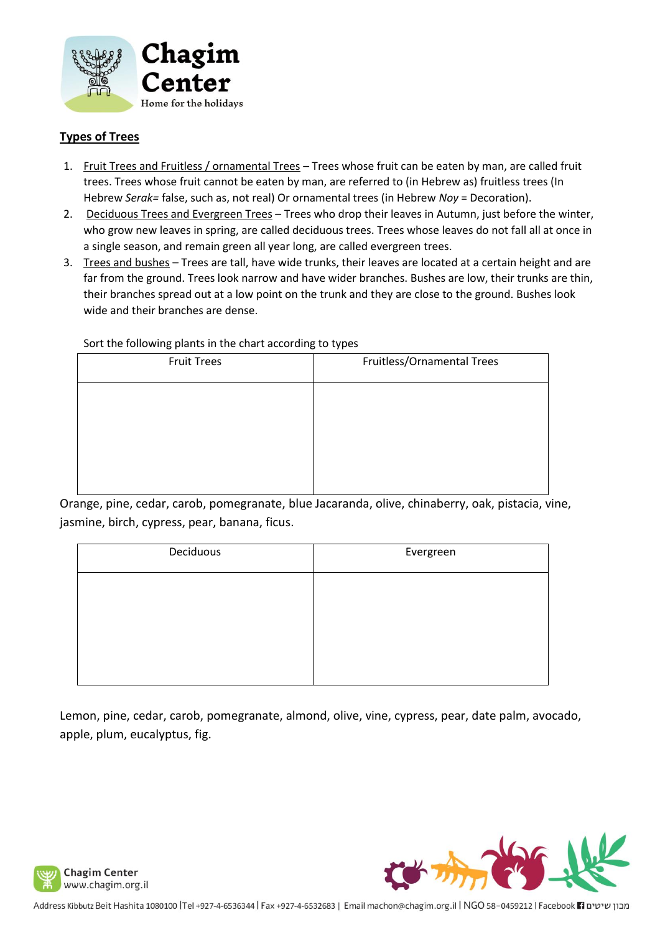

## **Types of Trees**

- 1. Fruit Trees and Fruitless / ornamental Trees Trees whose fruit can be eaten by man, are called fruit trees. Trees whose fruit cannot be eaten by man, are referred to (in Hebrew as) fruitless trees (In Hebrew *Serak=* false, such as, not real) Or ornamental trees (in Hebrew *Noy* = Decoration).
- 2. Deciduous Trees and Evergreen Trees Trees who drop their leaves in Autumn, just before the winter, who grow new leaves in spring, are called deciduous trees. Trees whose leaves do not fall all at once in a single season, and remain green all year long, are called evergreen trees.
- 3. Trees and bushes Trees are tall, have wide trunks, their leaves are located at a certain height and are far from the ground. Trees look narrow and have wider branches. Bushes are low, their trunks are thin, their branches spread out at a low point on the trunk and they are close to the ground. Bushes look wide and their branches are dense.

#### Sort the following plants in the chart according to types

| __                 | .                          |
|--------------------|----------------------------|
| <b>Fruit Trees</b> | Fruitless/Ornamental Trees |
|                    |                            |
|                    |                            |
|                    |                            |
|                    |                            |
|                    |                            |

Orange, pine, cedar, carob, pomegranate, blue Jacaranda, olive, chinaberry, oak, pistacia, vine, jasmine, birch, cypress, pear, banana, ficus.

| Deciduous | Evergreen |
|-----------|-----------|
|           |           |
|           |           |
|           |           |
|           |           |

Lemon, pine, cedar, carob, pomegranate, almond, olive, vine, cypress, pear, date palm, avocado, apple, plum, eucalyptus, fig.



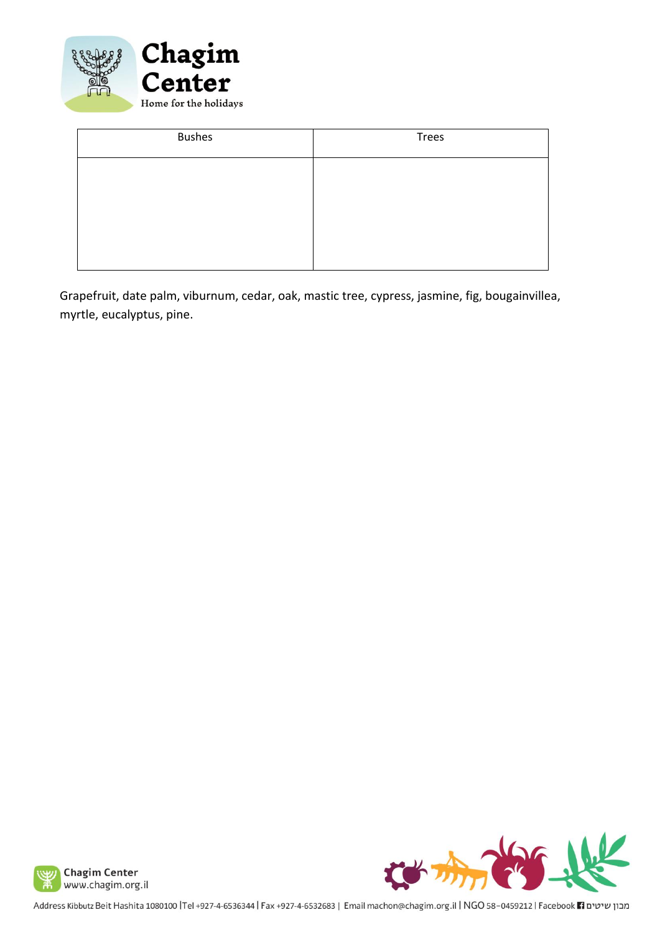

| <b>Bushes</b> | Trees |
|---------------|-------|
|               |       |
|               |       |
|               |       |
|               |       |

Grapefruit, date palm, viburnum, cedar, oak, mastic tree, cypress, jasmine, fig, bougainvillea, myrtle, eucalyptus, pine.



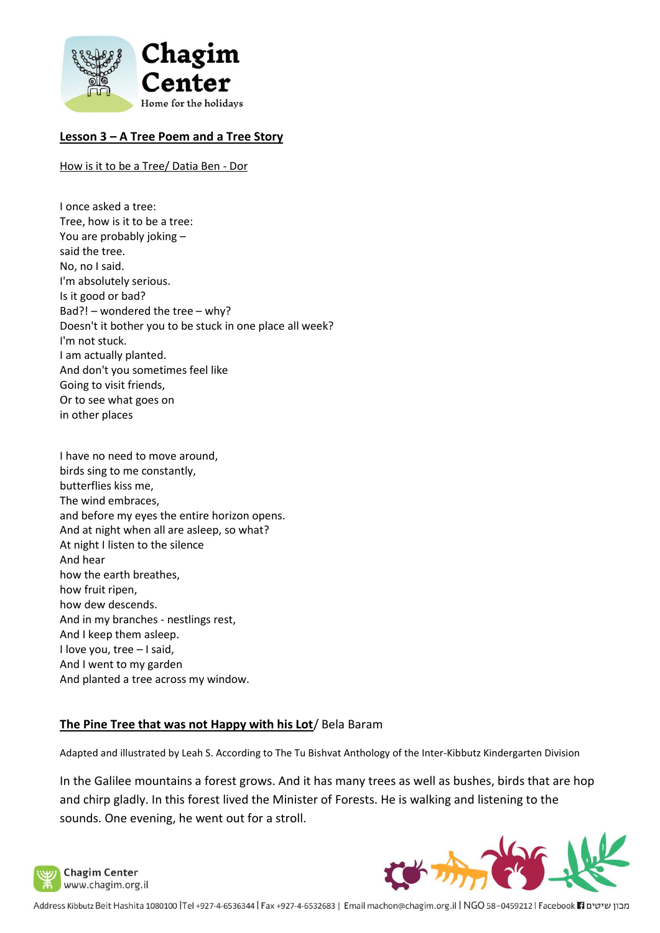

### **Lesson 3 – A Tree Poem and a Tree Story**

How is it to be a Tree/ Datia Ben - Dor

- I once asked a tree: Tree, how is it to be a tree: You are probably joking – said the tree. No, no I said. I'm absolutely serious. Is it good or bad? Bad?! – wondered the tree – why? Doesn't it bother you to be stuck in one place all week? I'm not stuck. I am actually planted. And don't you sometimes feel like Going to visit friends, Or to see what goes on in other places
- I have no need to move around, birds sing to me constantly, butterflies kiss me, The wind embraces, and before my eyes the entire horizon opens. And at night when all are asleep, so what? At night I listen to the silence And hear how the earth breathes, how fruit ripen, how dew descends. And in my branches - nestlings rest, And I keep them asleep. I love you, tree – I said, And I went to my garden And planted a tree across my window.

#### **The Pine Tree that was not Happy with his Lot**/ Bela Baram

Adapted and illustrated by Leah S. According to The Tu Bishvat Anthology of the Inter-Kibbutz Kindergarten Division

In the Galilee mountains a forest grows. And it has many trees as well as bushes, birds that are hop and chirp gladly. In this forest lived the Minister of Forests. He is walking and listening to the sounds. One evening, he went out for a stroll.

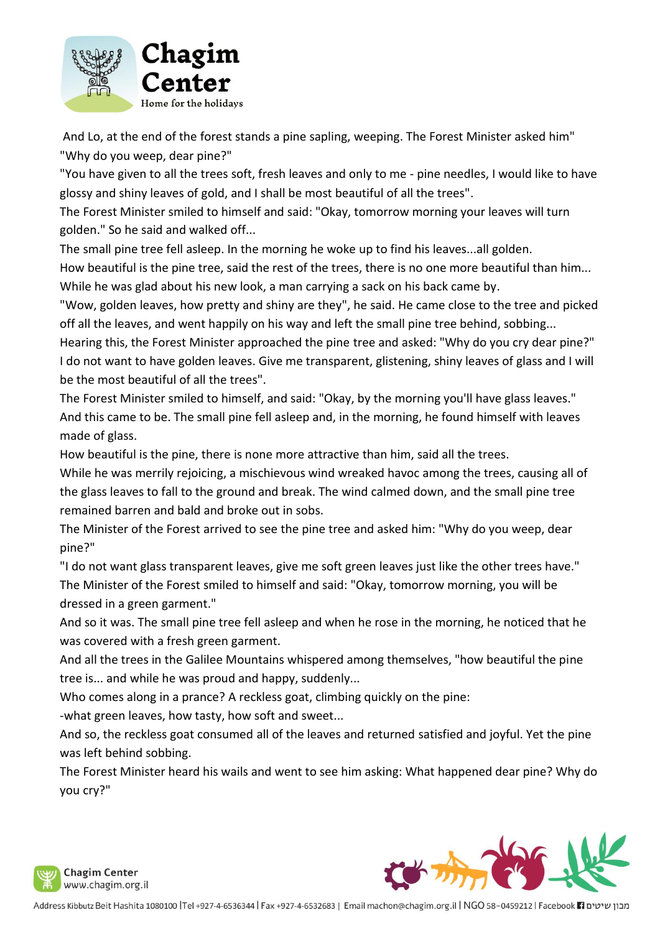

And Lo, at the end of the forest stands a pine sapling, weeping. The Forest Minister asked him" "Why do you weep, dear pine?"

"You have given to all the trees soft, fresh leaves and only to me - pine needles, I would like to have glossy and shiny leaves of gold, and I shall be most beautiful of all the trees".

The Forest Minister smiled to himself and said: "Okay, tomorrow morning your leaves will turn golden." So he said and walked off...

The small pine tree fell asleep. In the morning he woke up to find his leaves...all golden.

How beautiful is the pine tree, said the rest of the trees, there is no one more beautiful than him... While he was glad about his new look, a man carrying a sack on his back came by.

"Wow, golden leaves, how pretty and shiny are they", he said. He came close to the tree and picked off all the leaves, and went happily on his way and left the small pine tree behind, sobbing...

Hearing this, the Forest Minister approached the pine tree and asked: "Why do you cry dear pine?" I do not want to have golden leaves. Give me transparent, glistening, shiny leaves of glass and I will be the most beautiful of all the trees".

The Forest Minister smiled to himself, and said: "Okay, by the morning you'll have glass leaves." And this came to be. The small pine fell asleep and, in the morning, he found himself with leaves made of glass.

How beautiful is the pine, there is none more attractive than him, said all the trees.

While he was merrily rejoicing, a mischievous wind wreaked havoc among the trees, causing all of the glass leaves to fall to the ground and break. The wind calmed down, and the small pine tree remained barren and bald and broke out in sobs.

The Minister of the Forest arrived to see the pine tree and asked him: "Why do you weep, dear pine?"

"I do not want glass transparent leaves, give me soft green leaves just like the other trees have." The Minister of the Forest smiled to himself and said: "Okay, tomorrow morning, you will be dressed in a green garment."

And so it was. The small pine tree fell asleep and when he rose in the morning, he noticed that he was covered with a fresh green garment.

And all the trees in the Galilee Mountains whispered among themselves, "how beautiful the pine tree is... and while he was proud and happy, suddenly...

Who comes along in a prance? A reckless goat, climbing quickly on the pine:

-what green leaves, how tasty, how soft and sweet...

And so, the reckless goat consumed all of the leaves and returned satisfied and joyful. Yet the pine was left behind sobbing.

The Forest Minister heard his wails and went to see him asking: What happened dear pine? Why do you cry?"